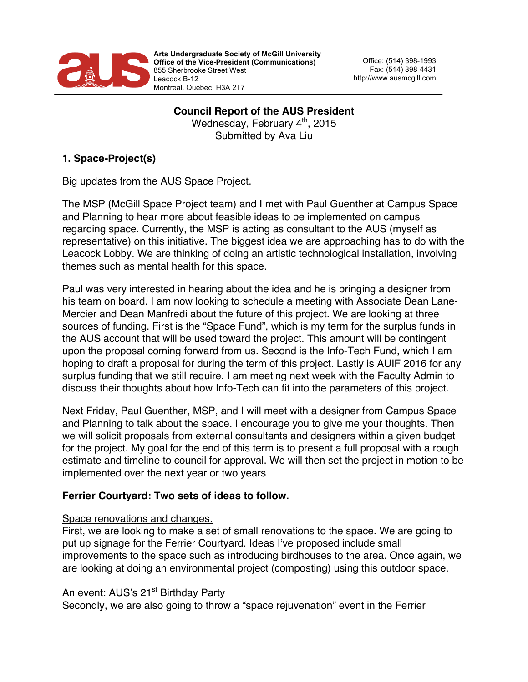

**Arts Undergraduate Society of McGill University Office of the Vice-President (Communications)** 855 Sherbrooke Street West Leacock B-12 Montreal, Quebec H3A 2T7

Office: (514) 398-1993 Fax: (514) 398-4431 http://www.ausmcgill.com

**Council Report of the AUS President** Wednesday, February 4<sup>th</sup>, 2015 Submitted by Ava Liu

# **1. Space-Project(s)**

Big updates from the AUS Space Project.

The MSP (McGill Space Project team) and I met with Paul Guenther at Campus Space and Planning to hear more about feasible ideas to be implemented on campus regarding space. Currently, the MSP is acting as consultant to the AUS (myself as representative) on this initiative. The biggest idea we are approaching has to do with the Leacock Lobby. We are thinking of doing an artistic technological installation, involving themes such as mental health for this space.

Paul was very interested in hearing about the idea and he is bringing a designer from his team on board. I am now looking to schedule a meeting with Associate Dean Lane-Mercier and Dean Manfredi about the future of this project. We are looking at three sources of funding. First is the "Space Fund", which is my term for the surplus funds in the AUS account that will be used toward the project. This amount will be contingent upon the proposal coming forward from us. Second is the Info-Tech Fund, which I am hoping to draft a proposal for during the term of this project. Lastly is AUIF 2016 for any surplus funding that we still require. I am meeting next week with the Faculty Admin to discuss their thoughts about how Info-Tech can fit into the parameters of this project.

Next Friday, Paul Guenther, MSP, and I will meet with a designer from Campus Space and Planning to talk about the space. I encourage you to give me your thoughts. Then we will solicit proposals from external consultants and designers within a given budget for the project. My goal for the end of this term is to present a full proposal with a rough estimate and timeline to council for approval. We will then set the project in motion to be implemented over the next year or two years

## **Ferrier Courtyard: Two sets of ideas to follow.**

#### Space renovations and changes.

First, we are looking to make a set of small renovations to the space. We are going to put up signage for the Ferrier Courtyard. Ideas I've proposed include small improvements to the space such as introducing birdhouses to the area. Once again, we are looking at doing an environmental project (composting) using this outdoor space.

## An event: AUS's 21<sup>st</sup> Birthday Party

Secondly, we are also going to throw a "space rejuvenation" event in the Ferrier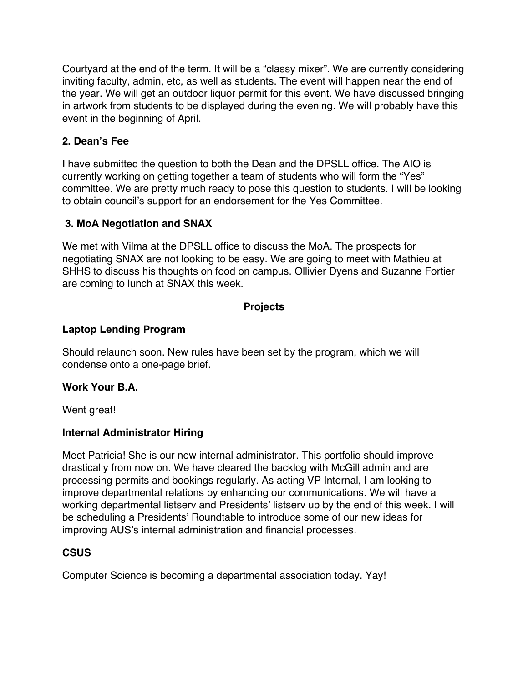Courtyard at the end of the term. It will be a "classy mixer". We are currently considering inviting faculty, admin, etc, as well as students. The event will happen near the end of the year. We will get an outdoor liquor permit for this event. We have discussed bringing in artwork from students to be displayed during the evening. We will probably have this event in the beginning of April.

## **2. Dean's Fee**

I have submitted the question to both the Dean and the DPSLL office. The AIO is currently working on getting together a team of students who will form the "Yes" committee. We are pretty much ready to pose this question to students. I will be looking to obtain council's support for an endorsement for the Yes Committee.

## **3. MoA Negotiation and SNAX**

We met with Vilma at the DPSLL office to discuss the MoA. The prospects for negotiating SNAX are not looking to be easy. We are going to meet with Mathieu at SHHS to discuss his thoughts on food on campus. Ollivier Dyens and Suzanne Fortier are coming to lunch at SNAX this week.

### **Projects**

## **Laptop Lending Program**

Should relaunch soon. New rules have been set by the program, which we will condense onto a one-page brief.

## **Work Your B.A.**

Went great!

## **Internal Administrator Hiring**

Meet Patricia! She is our new internal administrator. This portfolio should improve drastically from now on. We have cleared the backlog with McGill admin and are processing permits and bookings regularly. As acting VP Internal, I am looking to improve departmental relations by enhancing our communications. We will have a working departmental listserv and Presidents' listserv up by the end of this week. I will be scheduling a Presidents' Roundtable to introduce some of our new ideas for improving AUS's internal administration and financial processes.

## **CSUS**

Computer Science is becoming a departmental association today. Yay!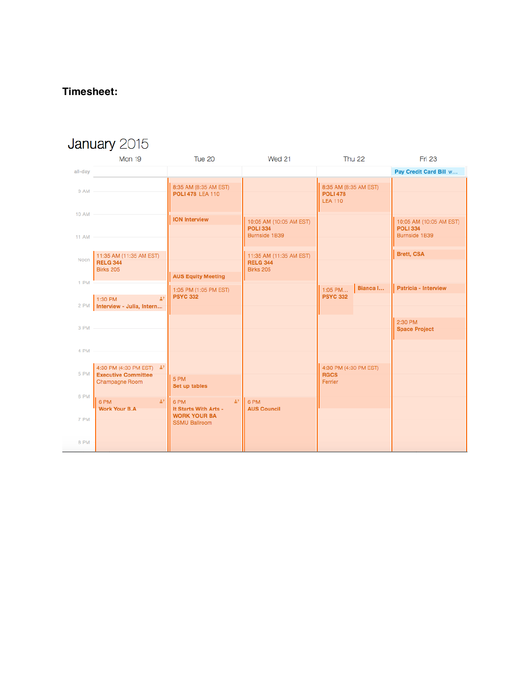# Timesheet:

| January 2015                 |                                                                                        |                                                                                                |                                                                |                                                            |                                                             |
|------------------------------|----------------------------------------------------------------------------------------|------------------------------------------------------------------------------------------------|----------------------------------------------------------------|------------------------------------------------------------|-------------------------------------------------------------|
|                              | Mon 19                                                                                 | Tue 20                                                                                         | Wed 21                                                         | Thu 22                                                     | <b>Fri 23</b>                                               |
| all-day                      |                                                                                        |                                                                                                |                                                                |                                                            | Pay Credit Card Bill w                                      |
| $9AM -$                      |                                                                                        | 8:35 AM (8:35 AM EST)<br><b>POLI 478 LEA 110</b>                                               |                                                                | 8:35 AM (8:35 AM EST)<br><b>POLI 478</b><br><b>LEA 110</b> |                                                             |
| <b>10 AM</b><br><b>11 AM</b> |                                                                                        | <b>ION Interview</b>                                                                           | 10:05 AM (10:05 AM EST)<br><b>POLI 334</b><br>Burnside 1B39    |                                                            | 10:05 AM (10:05 AM EST)<br><b>POLI 334</b><br>Burnside 1B39 |
| Noon                         | 11:35 AM (11:35 AM EST)<br><b>RELG 344</b><br><b>Birks 205</b>                         | <b>AUS Equity Meeting</b>                                                                      | 11:35 AM (11:35 AM EST)<br><b>RELG 344</b><br><b>Birks 205</b> |                                                            | <b>Brett, CSA</b>                                           |
| 1 PM                         | $\mathbb{R}^2$                                                                         | 1:05 PM (1:05 PM EST)<br><b>PSYC 332</b>                                                       |                                                                | Bianca I<br>$1:05$ PM<br><b>PSYC 332</b>                   | Patricia - Interview                                        |
| 2 PM                         | 1:30 PM<br>Interview - Julia, Intern                                                   |                                                                                                |                                                                |                                                            |                                                             |
| 3 PM -                       |                                                                                        |                                                                                                |                                                                |                                                            | 2:30 PM<br><b>Space Project</b>                             |
| 4 PM                         |                                                                                        |                                                                                                |                                                                |                                                            |                                                             |
| 5 PM<br>6 PM                 | 4:30 PM (4:30 PM EST) $\mathring{m}$ ?<br><b>Executive Committee</b><br>Champagne Room | 5 PM<br>Set up tables                                                                          |                                                                | 4:30 PM (4:30 PM EST)<br><b>RGCS</b><br>Ferrier            |                                                             |
| 7 PM                         | li il<br>6 PM<br><b>Work Your B.A.</b>                                                 | $\frac{4}{10}$<br>6 PM<br>It Starts With Arts -<br><b>WORK YOUR BA</b><br><b>SSMU Ballroom</b> | II 6 PM<br><b>AUS Council</b>                                  |                                                            |                                                             |
| 8 PM                         |                                                                                        |                                                                                                |                                                                |                                                            |                                                             |